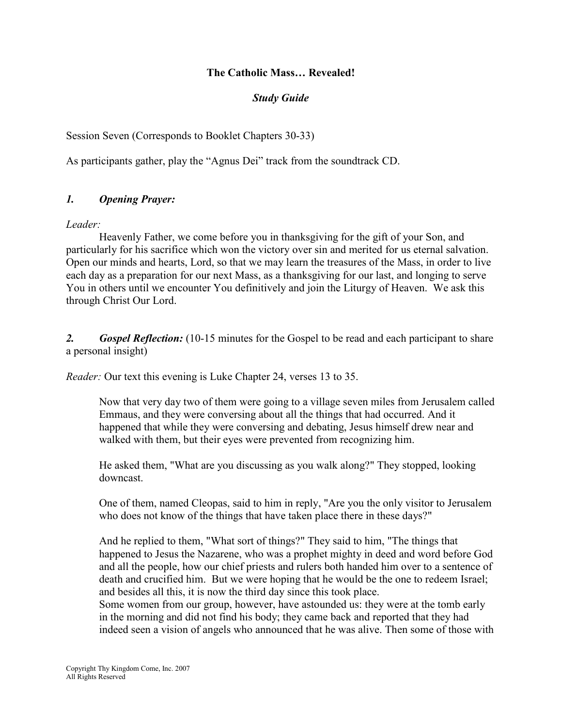## The Catholic Mass… Revealed!

## Study Guide

Session Seven (Corresponds to Booklet Chapters 30-33)

As participants gather, play the "Agnus Dei" track from the soundtrack CD.

## 1. Opening Prayer:

Leader:

Heavenly Father, we come before you in thanksgiving for the gift of your Son, and particularly for his sacrifice which won the victory over sin and merited for us eternal salvation. Open our minds and hearts, Lord, so that we may learn the treasures of the Mass, in order to live each day as a preparation for our next Mass, as a thanksgiving for our last, and longing to serve You in others until we encounter You definitively and join the Liturgy of Heaven. We ask this through Christ Our Lord.

2. Gospel Reflection: (10-15 minutes for the Gospel to be read and each participant to share a personal insight)

Reader: Our text this evening is Luke Chapter 24, verses 13 to 35.

Now that very day two of them were going to a village seven miles from Jerusalem called Emmaus, and they were conversing about all the things that had occurred. And it happened that while they were conversing and debating, Jesus himself drew near and walked with them, but their eyes were prevented from recognizing him.

He asked them, "What are you discussing as you walk along?" They stopped, looking downcast.

One of them, named Cleopas, said to him in reply, "Are you the only visitor to Jerusalem who does not know of the things that have taken place there in these days?"

And he replied to them, "What sort of things?" They said to him, "The things that happened to Jesus the Nazarene, who was a prophet mighty in deed and word before God and all the people, how our chief priests and rulers both handed him over to a sentence of death and crucified him. But we were hoping that he would be the one to redeem Israel; and besides all this, it is now the third day since this took place.

Some women from our group, however, have astounded us: they were at the tomb early in the morning and did not find his body; they came back and reported that they had indeed seen a vision of angels who announced that he was alive. Then some of those with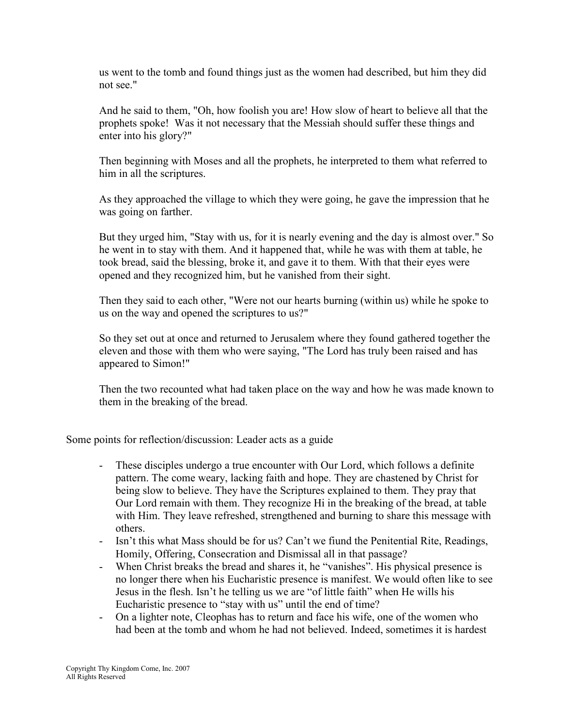us went to the tomb and found things just as the women had described, but him they did not see."

And he said to them, "Oh, how foolish you are! How slow of heart to believe all that the prophets spoke! Was it not necessary that the Messiah should suffer these things and enter into his glory?"

Then beginning with Moses and all the prophets, he interpreted to them what referred to him in all the scriptures.

As they approached the village to which they were going, he gave the impression that he was going on farther.

But they urged him, "Stay with us, for it is nearly evening and the day is almost over." So he went in to stay with them. And it happened that, while he was with them at table, he took bread, said the blessing, broke it, and gave it to them. With that their eyes were opened and they recognized him, but he vanished from their sight.

Then they said to each other, "Were not our hearts burning (within us) while he spoke to us on the way and opened the scriptures to us?"

So they set out at once and returned to Jerusalem where they found gathered together the eleven and those with them who were saying, "The Lord has truly been raised and has appeared to Simon!"

Then the two recounted what had taken place on the way and how he was made known to them in the breaking of the bread.

Some points for reflection/discussion: Leader acts as a guide

- These disciples undergo a true encounter with Our Lord, which follows a definite pattern. The come weary, lacking faith and hope. They are chastened by Christ for being slow to believe. They have the Scriptures explained to them. They pray that Our Lord remain with them. They recognize Hi in the breaking of the bread, at table with Him. They leave refreshed, strengthened and burning to share this message with others.
- Isn't this what Mass should be for us? Can't we fiund the Penitential Rite, Readings, Homily, Offering, Consecration and Dismissal all in that passage?
- When Christ breaks the bread and shares it, he "vanishes". His physical presence is no longer there when his Eucharistic presence is manifest. We would often like to see Jesus in the flesh. Isn't he telling us we are "of little faith" when He wills his Eucharistic presence to "stay with us" until the end of time?
- On a lighter note, Cleophas has to return and face his wife, one of the women who had been at the tomb and whom he had not believed. Indeed, sometimes it is hardest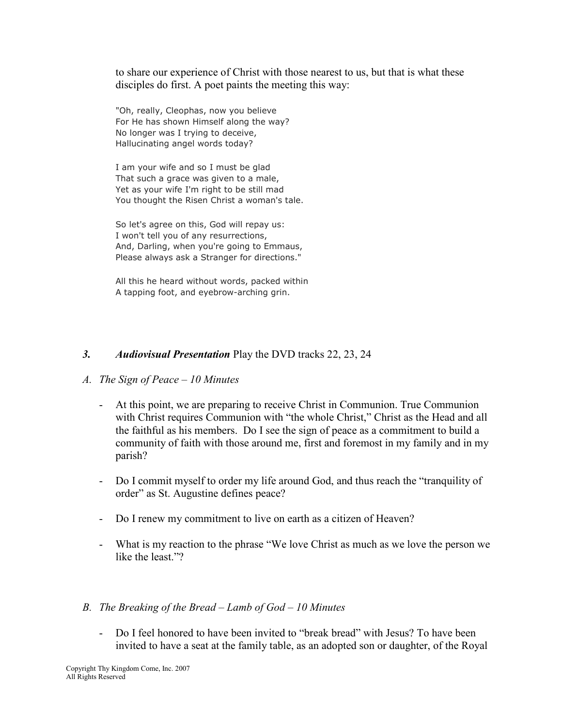to share our experience of Christ with those nearest to us, but that is what these disciples do first. A poet paints the meeting this way:

"Oh, really, Cleophas, now you believe For He has shown Himself along the way? No longer was I trying to deceive, Hallucinating angel words today?

I am your wife and so I must be glad That such a grace was given to a male, Yet as your wife I'm right to be still mad You thought the Risen Christ a woman's tale.

So let's agree on this, God will repay us: I won't tell you of any resurrections, And, Darling, when you're going to Emmaus, Please always ask a Stranger for directions."

All this he heard without words, packed within A tapping foot, and eyebrow-arching grin.

## 3. Audiovisual Presentation Play the DVD tracks 22, 23, 24

#### A. The Sign of Peace – 10 Minutes

- At this point, we are preparing to receive Christ in Communion. True Communion with Christ requires Communion with "the whole Christ," Christ as the Head and all the faithful as his members. Do I see the sign of peace as a commitment to build a community of faith with those around me, first and foremost in my family and in my parish?
- Do I commit myself to order my life around God, and thus reach the "tranquility of order" as St. Augustine defines peace?
- Do I renew my commitment to live on earth as a citizen of Heaven?
- What is my reaction to the phrase "We love Christ as much as we love the person we like the least."?

#### B. The Breaking of the Bread – Lamb of God – 10 Minutes

- Do I feel honored to have been invited to "break bread" with Jesus? To have been invited to have a seat at the family table, as an adopted son or daughter, of the Royal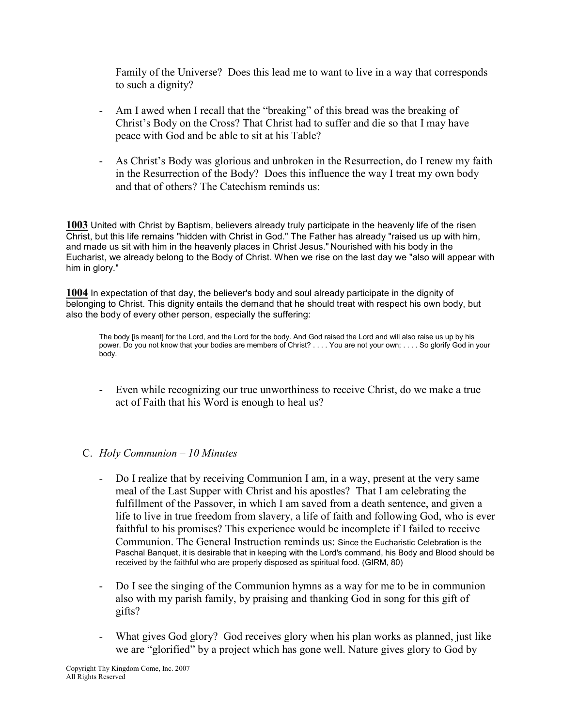Family of the Universe? Does this lead me to want to live in a way that corresponds to such a dignity?

- Am I awed when I recall that the "breaking" of this bread was the breaking of Christ's Body on the Cross? That Christ had to suffer and die so that I may have peace with God and be able to sit at his Table?
- As Christ's Body was glorious and unbroken in the Resurrection, do I renew my faith in the Resurrection of the Body? Does this influence the way I treat my own body and that of others? The Catechism reminds us:

1003 United with Christ by Baptism, believers already truly participate in the heavenly life of the risen Christ, but this life remains "hidden with Christ in God." The Father has already "raised us up with him, and made us sit with him in the heavenly places in Christ Jesus." Nourished with his body in the Eucharist, we already belong to the Body of Christ. When we rise on the last day we "also will appear with him in glory."

1004 In expectation of that day, the believer's body and soul already participate in the dignity of belonging to Christ. This dignity entails the demand that he should treat with respect his own body, but also the body of every other person, especially the suffering:

The body [is meant] for the Lord, and the Lord for the body. And God raised the Lord and will also raise us up by his power. Do you not know that your bodies are members of Christ? . . . . You are not your own; . . . . So glorify God in your body.

- Even while recognizing our true unworthiness to receive Christ, do we make a true act of Faith that his Word is enough to heal us?

#### C. Holy Communion  $-10$  Minutes

- Do I realize that by receiving Communion I am, in a way, present at the very same meal of the Last Supper with Christ and his apostles? That I am celebrating the fulfillment of the Passover, in which I am saved from a death sentence, and given a life to live in true freedom from slavery, a life of faith and following God, who is ever faithful to his promises? This experience would be incomplete if I failed to receive Communion. The General Instruction reminds us: Since the Eucharistic Celebration is the Paschal Banquet, it is desirable that in keeping with the Lord's command, his Body and Blood should be received by the faithful who are properly disposed as spiritual food. (GIRM, 80)
- Do I see the singing of the Communion hymns as a way for me to be in communion also with my parish family, by praising and thanking God in song for this gift of gifts?
- What gives God glory? God receives glory when his plan works as planned, just like we are "glorified" by a project which has gone well. Nature gives glory to God by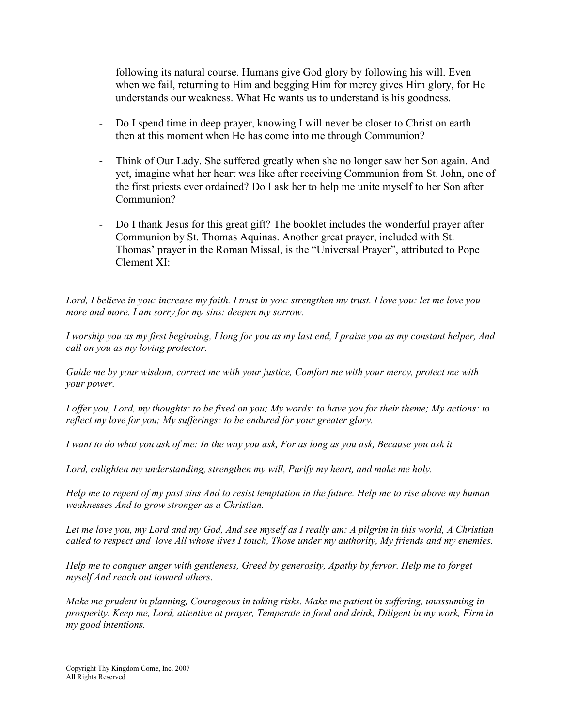following its natural course. Humans give God glory by following his will. Even when we fail, returning to Him and begging Him for mercy gives Him glory, for He understands our weakness. What He wants us to understand is his goodness.

- Do I spend time in deep prayer, knowing I will never be closer to Christ on earth then at this moment when He has come into me through Communion?
- Think of Our Lady. She suffered greatly when she no longer saw her Son again. And yet, imagine what her heart was like after receiving Communion from St. John, one of the first priests ever ordained? Do I ask her to help me unite myself to her Son after Communion?
- Do I thank Jesus for this great gift? The booklet includes the wonderful prayer after Communion by St. Thomas Aquinas. Another great prayer, included with St. Thomas' prayer in the Roman Missal, is the "Universal Prayer", attributed to Pope Clement XI:

Lord, I believe in you: increase my faith. I trust in you: strengthen my trust. I love you: let me love you more and more. I am sorry for my sins: deepen my sorrow.

I worship you as my first beginning, I long for you as my last end, I praise you as my constant helper, And call on you as my loving protector.

Guide me by your wisdom, correct me with your justice, Comfort me with your mercy, protect me with your power.

I offer you, Lord, my thoughts: to be fixed on you; My words: to have you for their theme; My actions: to reflect my love for you; My sufferings: to be endured for your greater glory.

I want to do what you ask of me: In the way you ask, For as long as you ask, Because you ask it.

Lord, enlighten my understanding, strengthen my will, Purify my heart, and make me holy.

Help me to repent of my past sins And to resist temptation in the future. Help me to rise above my human weaknesses And to grow stronger as a Christian.

Let me love you, my Lord and my God, And see myself as I really am: A pilgrim in this world, A Christian called to respect and love All whose lives I touch, Those under my authority, My friends and my enemies.

Help me to conquer anger with gentleness, Greed by generosity, Apathy by fervor. Help me to forget myself And reach out toward others.

Make me prudent in planning, Courageous in taking risks. Make me patient in suffering, unassuming in prosperity. Keep me, Lord, attentive at prayer, Temperate in food and drink, Diligent in my work, Firm in my good intentions.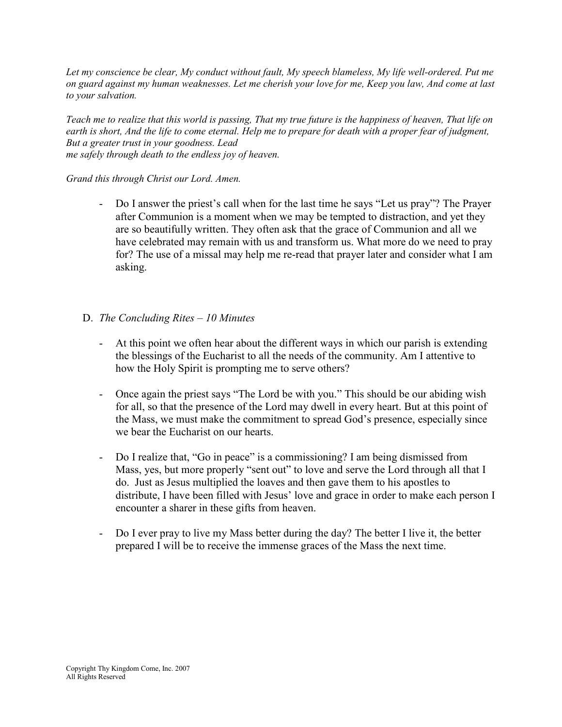Let my conscience be clear, My conduct without fault, My speech blameless, My life well-ordered. Put me on guard against my human weaknesses. Let me cherish your love for me, Keep you law, And come at last to your salvation.

Teach me to realize that this world is passing, That my true future is the happiness of heaven, That life on earth is short, And the life to come eternal. Help me to prepare for death with a proper fear of judgment, But a greater trust in your goodness. Lead me safely through death to the endless joy of heaven.

#### Grand this through Christ our Lord. Amen.

- Do I answer the priest's call when for the last time he says "Let us pray"? The Prayer after Communion is a moment when we may be tempted to distraction, and yet they are so beautifully written. They often ask that the grace of Communion and all we have celebrated may remain with us and transform us. What more do we need to pray for? The use of a missal may help me re-read that prayer later and consider what I am asking.

## D. The Concluding Rites  $-10$  Minutes

- At this point we often hear about the different ways in which our parish is extending the blessings of the Eucharist to all the needs of the community. Am I attentive to how the Holy Spirit is prompting me to serve others?
- Once again the priest says "The Lord be with you." This should be our abiding wish for all, so that the presence of the Lord may dwell in every heart. But at this point of the Mass, we must make the commitment to spread God's presence, especially since we bear the Eucharist on our hearts.
- Do I realize that, "Go in peace" is a commissioning? I am being dismissed from Mass, yes, but more properly "sent out" to love and serve the Lord through all that I do. Just as Jesus multiplied the loaves and then gave them to his apostles to distribute, I have been filled with Jesus' love and grace in order to make each person I encounter a sharer in these gifts from heaven.
- Do I ever pray to live my Mass better during the day? The better I live it, the better prepared I will be to receive the immense graces of the Mass the next time.